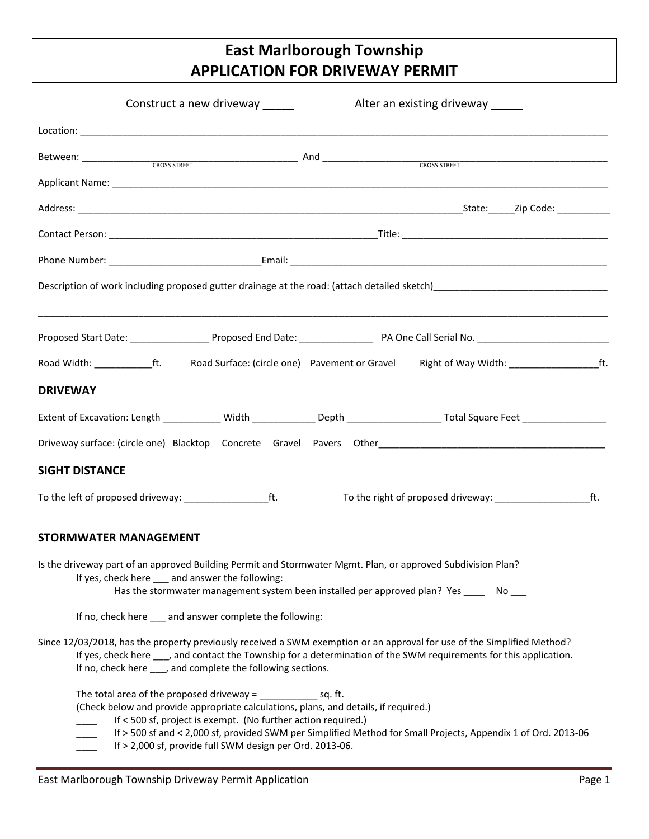## **East Marlborough Township APPLICATION FOR DRIVEWAY PERMIT**

|                              | Construct a new driveway _____                                                                                                                                                                                                                                                                                                                                                            |  | Alter an existing driveway ______ |  |  |
|------------------------------|-------------------------------------------------------------------------------------------------------------------------------------------------------------------------------------------------------------------------------------------------------------------------------------------------------------------------------------------------------------------------------------------|--|-----------------------------------|--|--|
|                              | Location: <b>All and All and All and All and All and All and All and All and All and All and All and All and All and All and All and All and All and All and All and All and All and All and All and All and All and All and All</b>                                                                                                                                                      |  |                                   |  |  |
|                              |                                                                                                                                                                                                                                                                                                                                                                                           |  |                                   |  |  |
|                              |                                                                                                                                                                                                                                                                                                                                                                                           |  |                                   |  |  |
|                              |                                                                                                                                                                                                                                                                                                                                                                                           |  |                                   |  |  |
|                              |                                                                                                                                                                                                                                                                                                                                                                                           |  |                                   |  |  |
|                              |                                                                                                                                                                                                                                                                                                                                                                                           |  |                                   |  |  |
|                              |                                                                                                                                                                                                                                                                                                                                                                                           |  |                                   |  |  |
|                              |                                                                                                                                                                                                                                                                                                                                                                                           |  |                                   |  |  |
|                              |                                                                                                                                                                                                                                                                                                                                                                                           |  |                                   |  |  |
| <b>DRIVEWAY</b>              |                                                                                                                                                                                                                                                                                                                                                                                           |  |                                   |  |  |
|                              | Extent of Excavation: Length ____________Width ______________Depth ______________________Total Square Feet ___________________________                                                                                                                                                                                                                                                    |  |                                   |  |  |
|                              |                                                                                                                                                                                                                                                                                                                                                                                           |  |                                   |  |  |
| <b>SIGHT DISTANCE</b>        |                                                                                                                                                                                                                                                                                                                                                                                           |  |                                   |  |  |
|                              |                                                                                                                                                                                                                                                                                                                                                                                           |  |                                   |  |  |
| <b>STORMWATER MANAGEMENT</b> |                                                                                                                                                                                                                                                                                                                                                                                           |  |                                   |  |  |
|                              | Is the driveway part of an approved Building Permit and Stormwater Mgmt. Plan, or approved Subdivision Plan?<br>If yes, check here ___ and answer the following:<br>Has the stormwater management system been installed per approved plan? Yes ______ No ___                                                                                                                              |  |                                   |  |  |
|                              | If no, check here ___ and answer complete the following:                                                                                                                                                                                                                                                                                                                                  |  |                                   |  |  |
|                              | Since 12/03/2018, has the property previously received a SWM exemption or an approval for use of the Simplified Method?<br>If yes, check here ___, and contact the Township for a determination of the SWM requirements for this application.<br>If no, check here , and complete the following sections.                                                                                 |  |                                   |  |  |
|                              | The total area of the proposed driveway = $sq.$ ft.<br>(Check below and provide appropriate calculations, plans, and details, if required.)<br>If < 500 sf, project is exempt. (No further action required.)<br>If > 500 sf and < 2,000 sf, provided SWM per Simplified Method for Small Projects, Appendix 1 of Ord. 2013-06<br>If > 2,000 sf, provide full SWM design per Ord. 2013-06. |  |                                   |  |  |